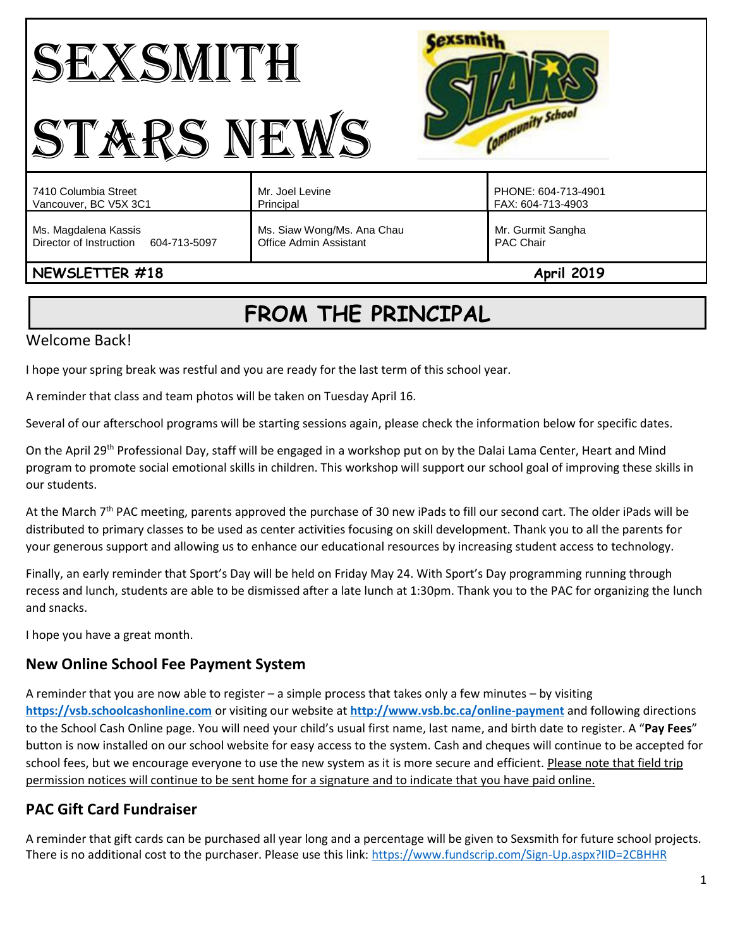# SEXSMITH STARS NEWS



| .                                    |                            |                     |
|--------------------------------------|----------------------------|---------------------|
| Ms. Magdalena Kassis                 | Ms. Siaw Wong/Ms. Ana Chau | Mr. Gurmit Sangha   |
| Director of Instruction 604-713-5097 | Office Admin Assistant     | <b>PAC Chair</b>    |
| 7410 Columbia Street                 | Mr. Joel Levine            | PHONE: 604-713-4901 |
| Vancouver, BC V5X 3C1                | Principal                  | FAX: 604-713-4903   |

## **NEWSLETTER #18 April 2019**

## **FROM THE PRINCIPAL**

## Welcome Back!

I hope your spring break was restful and you are ready for the last term of this school year.

A reminder that class and team photos will be taken on Tuesday April 16.

Several of our afterschool programs will be starting sessions again, please check the information below for specific dates.

On the April 29<sup>th</sup> Professional Day, staff will be engaged in a workshop put on by the Dalai Lama Center, Heart and Mind program to promote social emotional skills in children. This workshop will support our school goal of improving these skills in our students.

At the March 7<sup>th</sup> PAC meeting, parents approved the purchase of 30 new iPads to fill our second cart. The older iPads will be distributed to primary classes to be used as center activities focusing on skill development. Thank you to all the parents for your generous support and allowing us to enhance our educational resources by increasing student access to technology.

Finally, an early reminder that Sport's Day will be held on Friday May 24. With Sport's Day programming running through recess and lunch, students are able to be dismissed after a late lunch at 1:30pm. Thank you to the PAC for organizing the lunch and snacks.

I hope you have a great month.

## **New Online School Fee Payment System**

A reminder that you are now able to register – a simple process that takes only a few minutes – by visiting **[https://vsb.schoolcashonline.com](https://vsb.schoolcashonline.com/)** or visiting our website at **<http://www.vsb.bc.ca/online-payment>** and following directions to the School Cash Online page. You will need your child's usual first name, last name, and birth date to register. A "**Pay Fees**" button is now installed on our school website for easy access to the system. Cash and cheques will continue to be accepted for school fees, but we encourage everyone to use the new system as it is more secure and efficient. Please note that field trip permission notices will continue to be sent home for a signature and to indicate that you have paid online.

## **PAC Gift Card Fundraiser**

A reminder that gift cards can be purchased all year long and a percentage will be given to Sexsmith for future school projects. There is no additional cost to the purchaser. Please use this link:<https://www.fundscrip.com/Sign-Up.aspx?IID=2CBHHR>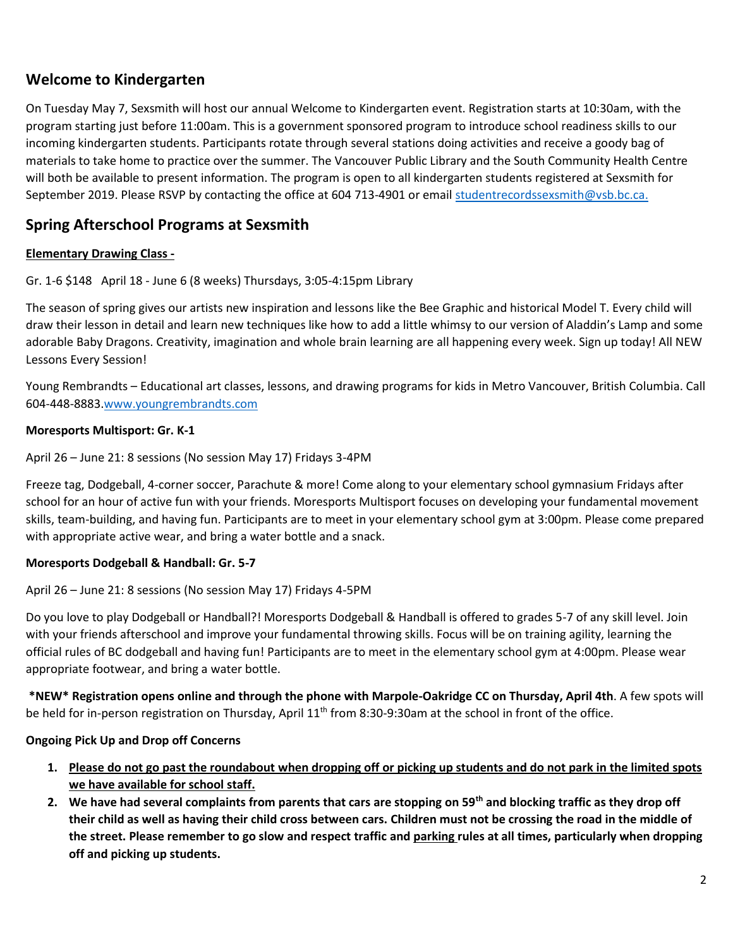## **Welcome to Kindergarten**

On Tuesday May 7, Sexsmith will host our annual Welcome to Kindergarten event. Registration starts at 10:30am, with the program starting just before 11:00am. This is a government sponsored program to introduce school readiness skills to our incoming kindergarten students. Participants rotate through several stations doing activities and receive a goody bag of materials to take home to practice over the summer. The Vancouver Public Library and the South Community Health Centre will both be available to present information. The program is open to all kindergarten students registered at Sexsmith for September 2019. Please RSVP by contacting the office at 604 713-4901 or email [studentrecordssexsmith@vsb.bc.ca.](mailto:studentrecordssexsmith@vsb.bc.ca)

## **Spring Afterschool Programs at Sexsmith**

#### **Elementary Drawing Class -**

Gr. 1-6 \$148 April 18 - June 6 (8 weeks) Thursdays, 3:05-4:15pm Library

The season of spring gives our artists new inspiration and lessons like the Bee Graphic and historical Model T. Every child will draw their lesson in detail and learn new techniques like how to add a little whimsy to our version of Aladdin's Lamp and some adorable Baby Dragons. Creativity, imagination and whole brain learning are all happening every week. Sign up today! All NEW Lessons Every Session!

Young Rembrandts – Educational art classes, lessons, and drawing programs for kids in Metro Vancouver, British Columbia. Call 604-448-8883[.www.youngrembrandts.com](http://www.youngrembrandts.com/)

#### **Moresports Multisport: Gr. K-1**

April 26 – June 21: 8 sessions (No session May 17) Fridays 3-4PM

Freeze tag, Dodgeball, 4-corner soccer, Parachute & more! Come along to your elementary school gymnasium Fridays after school for an hour of active fun with your friends. Moresports Multisport focuses on developing your fundamental movement skills, team-building, and having fun. Participants are to meet in your elementary school gym at 3:00pm. Please come prepared with appropriate active wear, and bring a water bottle and a snack.

#### **Moresports Dodgeball & Handball: Gr. 5-7**

April 26 – June 21: 8 sessions (No session May 17) Fridays 4-5PM

Do you love to play Dodgeball or Handball?! Moresports Dodgeball & Handball is offered to grades 5-7 of any skill level. Join with your friends afterschool and improve your fundamental throwing skills. Focus will be on training agility, learning the official rules of BC dodgeball and having fun! Participants are to meet in the elementary school gym at 4:00pm. Please wear appropriate footwear, and bring a water bottle.

**\*NEW\* Registration opens online and through the phone with Marpole-Oakridge CC on Thursday, April 4th**. A few spots will be held for in-person registration on Thursday, April 11<sup>th</sup> from 8:30-9:30am at the school in front of the office.

#### **Ongoing Pick Up and Drop off Concerns**

- **1. Please do not go past the roundabout when dropping off or picking up students and do not park in the limited spots we have available for school staff.**
- **2. We have had several complaints from parents that cars are stopping on 59th and blocking traffic as they drop off their child as well as having their child cross between cars. Children must not be crossing the road in the middle of the street. Please remember to go slow and respect traffic and parking rules at all times, particularly when dropping off and picking up students.**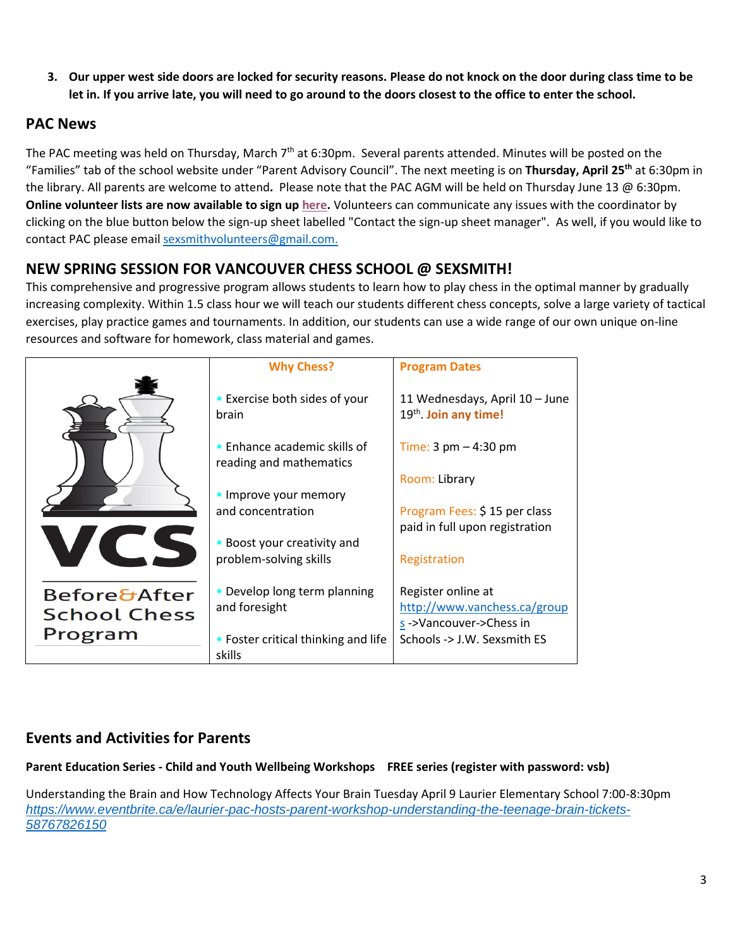**3. Our upper west side doors are locked for security reasons. Please do not knock on the door during class time to be let in. If you arrive late, you will need to go around to the doors closest to the office to enter the school.** 

## **PAC News**

The PAC meeting was held on Thursday, March 7<sup>th</sup> at 6:30pm. Several parents attended. Minutes will be posted on the "Families" tab of the school website under "Parent Advisory Council". The next meeting is on **Thursday, April 25th** at 6:30pm in the library. All parents are welcome to attend**.** Please note that the PAC AGM will be held on Thursday June 13 @ 6:30pm. **Online volunteer lists are now available to sign up [here.](https://www.vsb.bc.ca/schools/jw-sexsmith/Families/Volunteer/Pages/default.aspx?rf=60dffc84-32f0-4e6d-91f4-029ada54abc9)** Volunteers can communicate any issues with the coordinator by clicking on the blue button below the sign-up sheet labelled "Contact the sign-up sheet manager". As well, if you would like to contact PAC please emai[l sexsmithvolunteers@gmail.com.](mailto:sexsmithvolunteers@gmail.com)

## **NEW SPRING SESSION FOR VANCOUVER CHESS SCHOOL @ SEXSMITH!**

This comprehensive and progressive program allows students to learn how to play chess in the optimal manner by gradually increasing complexity. Within 1.5 class hour we will teach our students different chess concepts, solve a large variety of tactical exercises, play practice games and tournaments. In addition, our students can use a wide range of our own unique on-line resources and software for homework, class material and games.

|                                                | <b>Why Chess?</b>                                       | <b>Program Dates</b>                                                         |
|------------------------------------------------|---------------------------------------------------------|------------------------------------------------------------------------------|
|                                                | • Exercise both sides of your<br>brain                  | 11 Wednesdays, April 10 - June<br>19th Join any time!                        |
|                                                | • Enhance academic skills of<br>reading and mathematics | Time: $3 \text{ pm} - 4:30 \text{ pm}$                                       |
|                                                | • Improve your memory                                   | Room: Library                                                                |
|                                                | and concentration                                       | Program Fees: \$15 per class                                                 |
| $\overline{a}$                                 | • Boost your creativity and                             | paid in full upon registration                                               |
|                                                | problem-solving skills                                  | Registration                                                                 |
| <b>Before&amp;After</b><br><b>School Chess</b> | • Develop long term planning<br>and foresight           | Register online at<br>http://www.vanchess.ca/group<br>s->Vancouver->Chess in |
| Program                                        | • Foster critical thinking and life<br>skills           | Schools -> J.W. Sexsmith ES                                                  |

## **Events and Activities for Parents**

**Parent Education Series - Child and Youth Wellbeing Workshops FREE series (register with password: vsb)**

Understanding the Brain and How Technology Affects Your Brain Tuesday April 9 Laurier Elementary School 7:00-8:30pm *[https://www.eventbrite.ca/e/laurier-pac-hosts-parent-workshop-understanding-the-teenage-brain-tickets-](https://www.eventbrite.ca/e/laurier-pac-hosts-parent-workshop-understanding-the-teenage-brain-tickets-58767826150)[58767826150](https://www.eventbrite.ca/e/laurier-pac-hosts-parent-workshop-understanding-the-teenage-brain-tickets-58767826150)*